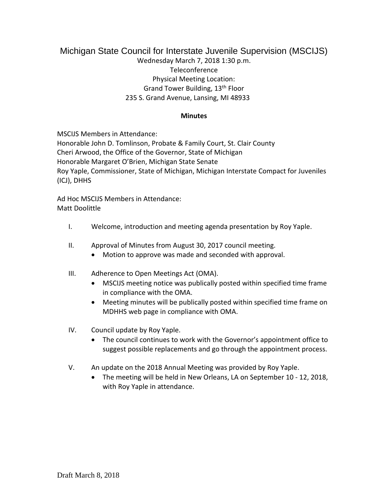## Michigan State Council for Interstate Juvenile Supervision (MSCIJS) Wednesday March 7, 2018 1:30 p.m. Teleconference Physical Meeting Location: Grand Tower Building, 13th Floor 235 S. Grand Avenue, Lansing, MI 48933

## **Minutes**

MSCIJS Members in Attendance:

Honorable John D. Tomlinson, Probate & Family Court, St. Clair County Cheri Arwood, the Office of the Governor, State of Michigan Honorable Margaret O'Brien, Michigan State Senate Roy Yaple, Commissioner, State of Michigan, Michigan Interstate Compact for Juveniles (ICJ), DHHS

Ad Hoc MSCIJS Members in Attendance: Matt Doolittle

- I. Welcome, introduction and meeting agenda presentation by Roy Yaple.
- II. Approval of Minutes from August 30, 2017 council meeting.
	- Motion to approve was made and seconded with approval.
- III. Adherence to Open Meetings Act (OMA).
	- MSCIJS meeting notice was publically posted within specified time frame in compliance with the OMA.
	- Meeting minutes will be publically posted within specified time frame on MDHHS web page in compliance with OMA.
- IV. Council update by Roy Yaple.
	- The council continues to work with the Governor's appointment office to suggest possible replacements and go through the appointment process.
- V. An update on the 2018 Annual Meeting was provided by Roy Yaple.
	- The meeting will be held in New Orleans, LA on September 10 12, 2018, with Roy Yaple in attendance.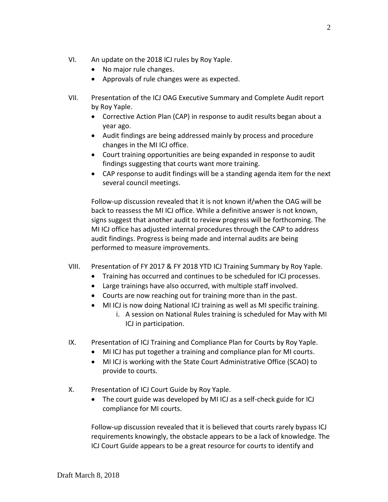- VI. An update on the 2018 ICJ rules by Roy Yaple.
	- No major rule changes.
	- Approvals of rule changes were as expected.
- VII. Presentation of the ICJ OAG Executive Summary and Complete Audit report by Roy Yaple.
	- Corrective Action Plan (CAP) in response to audit results began about a year ago.
	- Audit findings are being addressed mainly by process and procedure changes in the MI ICJ office.
	- Court training opportunities are being expanded in response to audit findings suggesting that courts want more training.
	- CAP response to audit findings will be a standing agenda item for the next several council meetings.

Follow-up discussion revealed that it is not known if/when the OAG will be back to reassess the MI ICJ office. While a definitive answer is not known, signs suggest that another audit to review progress will be forthcoming. The MI ICJ office has adjusted internal procedures through the CAP to address audit findings. Progress is being made and internal audits are being performed to measure improvements.

- VIII. Presentation of FY 2017 & FY 2018 YTD ICJ Training Summary by Roy Yaple.
	- Training has occurred and continues to be scheduled for ICJ processes.
	- Large trainings have also occurred, with multiple staff involved.
	- Courts are now reaching out for training more than in the past.
	- MI ICJ is now doing National ICJ training as well as MI specific training.
		- i. A session on National Rules training is scheduled for May with MI ICJ in participation.
- IX. Presentation of ICJ Training and Compliance Plan for Courts by Roy Yaple.
	- MI ICJ has put together a training and compliance plan for MI courts.
	- MI ICJ is working with the State Court Administrative Office (SCAO) to provide to courts.
- X. Presentation of ICJ Court Guide by Roy Yaple.
	- The court guide was developed by MI ICJ as a self-check guide for ICJ compliance for MI courts.

Follow-up discussion revealed that it is believed that courts rarely bypass ICJ requirements knowingly, the obstacle appears to be a lack of knowledge. The ICJ Court Guide appears to be a great resource for courts to identify and